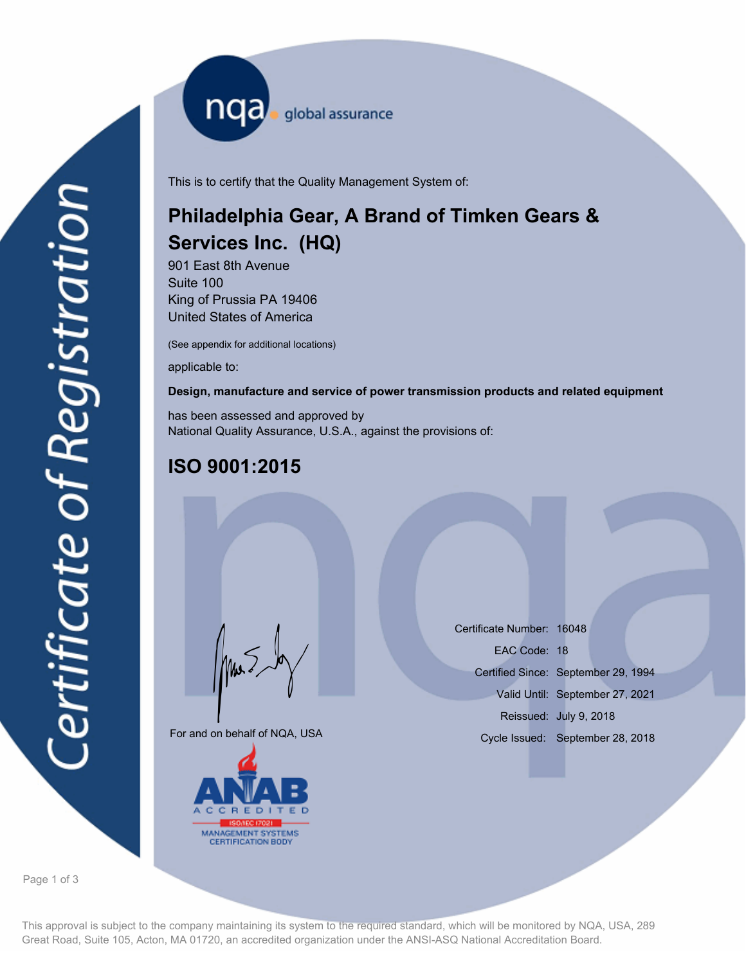nqa <sub>global assurance</sub>

This is to certify that the Quality Management System of:

# **Philadelphia Gear, A Brand of Timken Gears & Services Inc. (HQ)**

901 East 8th Avenue Suite 100 King of Prussia PA 19406 United States of America

(See appendix for additional locations)

applicable to:

#### **Design, manufacture and service of power transmission products and related equipment**

has been assessed and approved by National Quality Assurance, U.S.A., against the provisions of:

## **ISO 9001:2015**

For and on behalf of NQA, USA

Mus



Certificate Number: 16048 Certified Since: September 29, 1994 Valid Until: September 27, 2021 Reissued: July 9, 2018 EAC Code: 18 Cycle Issued: September 28, 2018

Page 1 of 3

This approval is subject to the company maintaining its system to the required standard, which will be monitored by NQA, USA, 289 Great Road, Suite 105, Acton, MA 01720, an accredited organization under the ANSI-ASQ National Accreditation Board.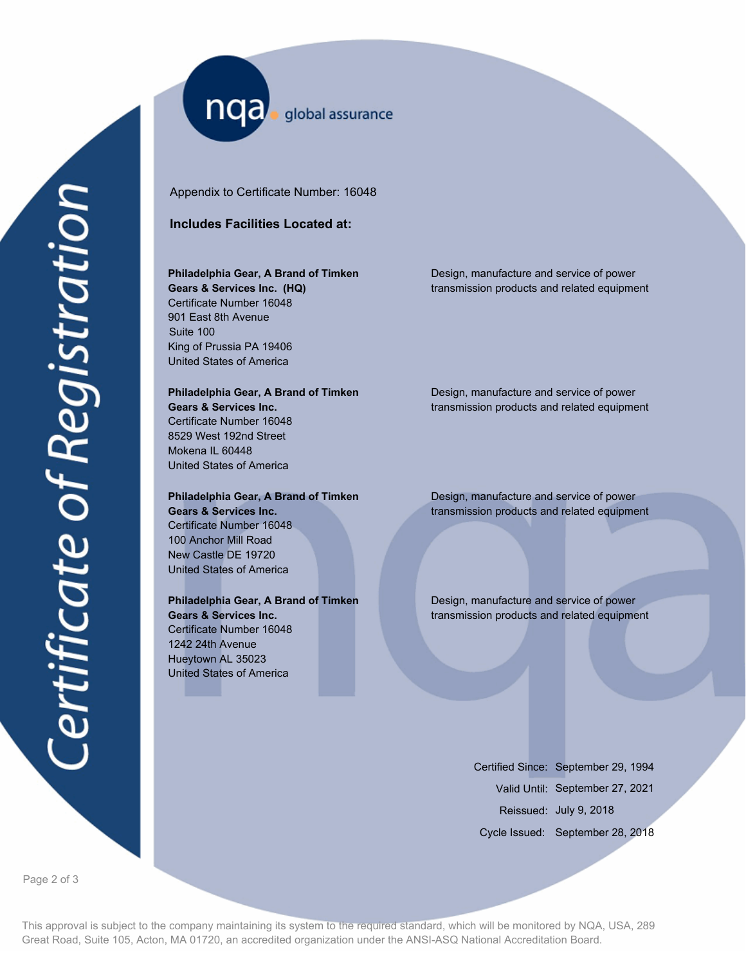nqa global assurance

Appendix to Certificate Number: 16048

#### **Includes Facilities Located at:**

## **Philadelphia Gear, A Brand of Timken Gears & Services Inc. (HQ)**

Certificate Number 16048 901 East 8th Avenue Suite 100 King of Prussia PA 19406 United States of America

## **Philadelphia Gear, A Brand of Timken**

**Gears & Services Inc.** Certificate Number 16048 8529 West 192nd Street Mokena IL 60448 United States of America

#### **Philadelphia Gear, A Brand of Timken Gears & Services Inc.** Certificate Number 16048 100 Anchor Mill Road New Castle DE 19720 United States of America

## **Philadelphia Gear, A Brand of Timken**

**Gears & Services Inc.** Certificate Number 16048 1242 24th Avenue Hueytown AL 35023 United States of America

Design, manufacture and service of power transmission products and related equipment

Design, manufacture and service of power transmission products and related equipment

Design, manufacture and service of power transmission products and related equipment

Design, manufacture and service of power transmission products and related equipment

> Certified Since: September 29, 1994 Valid Until: September 27, 2021 Reissued: July 9, 2018 Cycle Issued: September 28, 2018

Page 2 of 3

This approval is subject to the company maintaining its system to the required standard, which will be monitored by NQA, USA, 289 Great Road, Suite 105, Acton, MA 01720, an accredited organization under the ANSI-ASQ National Accreditation Board.